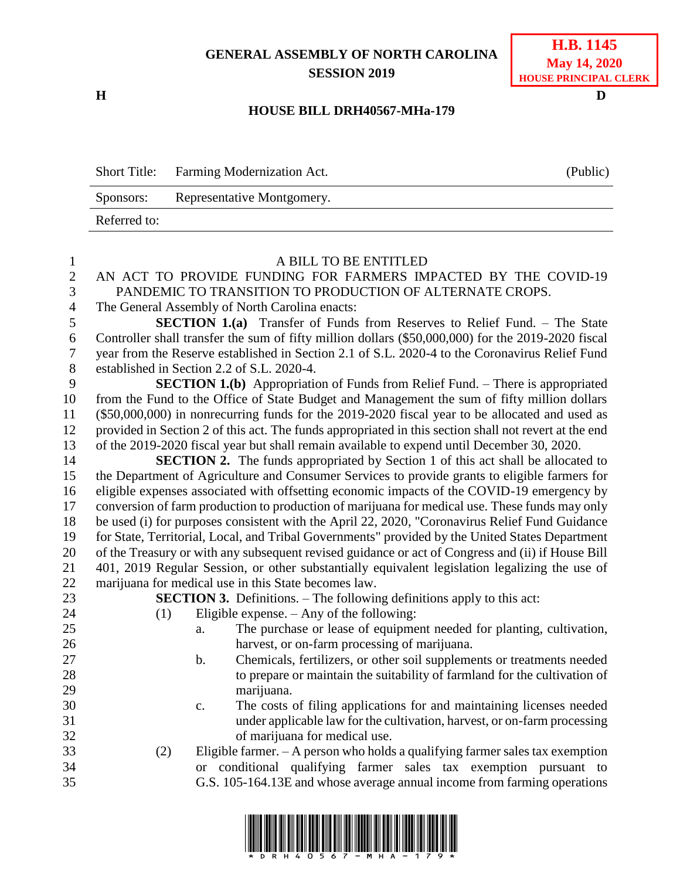## **GENERAL ASSEMBLY OF NORTH CAROLINA SESSION 2019**

**H D**

## **H.B. 1145 May 14, 2020 HOUSE PRINCIPAL CLERK**

## **HOUSE BILL DRH40567-MHa-179**

Short Title: Farming Modernization Act. (Public) Sponsors: Representative Montgomery. Referred to:

| $\mathbf{1}$     | A BILL TO BE ENTITLED                                                                                                                        |
|------------------|----------------------------------------------------------------------------------------------------------------------------------------------|
| $\overline{2}$   | AN ACT TO PROVIDE FUNDING FOR FARMERS IMPACTED BY THE COVID-19                                                                               |
| 3                | PANDEMIC TO TRANSITION TO PRODUCTION OF ALTERNATE CROPS.                                                                                     |
| $\overline{4}$   | The General Assembly of North Carolina enacts:                                                                                               |
| 5                | SECTION 1.(a) Transfer of Funds from Reserves to Relief Fund. - The State                                                                    |
| 6                | Controller shall transfer the sum of fifty million dollars (\$50,000,000) for the 2019-2020 fiscal                                           |
| $\boldsymbol{7}$ | year from the Reserve established in Section 2.1 of S.L. 2020-4 to the Coronavirus Relief Fund                                               |
| 8                | established in Section 2.2 of S.L. 2020-4.                                                                                                   |
| 9                | <b>SECTION 1.(b)</b> Appropriation of Funds from Relief Fund. – There is appropriated                                                        |
| 10               | from the Fund to the Office of State Budget and Management the sum of fifty million dollars                                                  |
| 11               | (\$50,000,000) in nonrecurring funds for the 2019-2020 fiscal year to be allocated and used as                                               |
| 12               | provided in Section 2 of this act. The funds appropriated in this section shall not revert at the end                                        |
| 13               | of the 2019-2020 fiscal year but shall remain available to expend until December 30, 2020.                                                   |
| 14               | <b>SECTION 2.</b> The funds appropriated by Section 1 of this act shall be allocated to                                                      |
| 15               | the Department of Agriculture and Consumer Services to provide grants to eligible farmers for                                                |
| 16               | eligible expenses associated with offsetting economic impacts of the COVID-19 emergency by                                                   |
| 17               | conversion of farm production to production of marijuana for medical use. These funds may only                                               |
| 18               | be used (i) for purposes consistent with the April 22, 2020, "Coronavirus Relief Fund Guidance                                               |
| 19               | for State, Territorial, Local, and Tribal Governments" provided by the United States Department                                              |
| 20               | of the Treasury or with any subsequent revised guidance or act of Congress and (ii) if House Bill                                            |
| 21               | 401, 2019 Regular Session, or other substantially equivalent legislation legalizing the use of                                               |
| 22               | marijuana for medical use in this State becomes law.                                                                                         |
| 23               | <b>SECTION 3.</b> Definitions. – The following definitions apply to this act:                                                                |
| 24               | Eligible expense. $-$ Any of the following:<br>(1)                                                                                           |
| 25               | The purchase or lease of equipment needed for planting, cultivation,<br>a.                                                                   |
| 26               | harvest, or on-farm processing of marijuana.                                                                                                 |
| 27               | Chemicals, fertilizers, or other soil supplements or treatments needed<br>$b$ .                                                              |
| 28               | to prepare or maintain the suitability of farmland for the cultivation of                                                                    |
| 29               | marijuana.                                                                                                                                   |
| 30               | The costs of filing applications for and maintaining licenses needed<br>c.                                                                   |
| 31<br>32         | under applicable law for the cultivation, harvest, or on-farm processing                                                                     |
| 33               | of marijuana for medical use.                                                                                                                |
| 34               | Eligible farmer. $- A$ person who holds a qualifying farmer sales tax exemption<br>(2)                                                       |
| 35               | or conditional qualifying farmer sales tax exemption pursuant to<br>G.S. 105-164.13E and whose average annual income from farming operations |
|                  |                                                                                                                                              |
|                  |                                                                                                                                              |